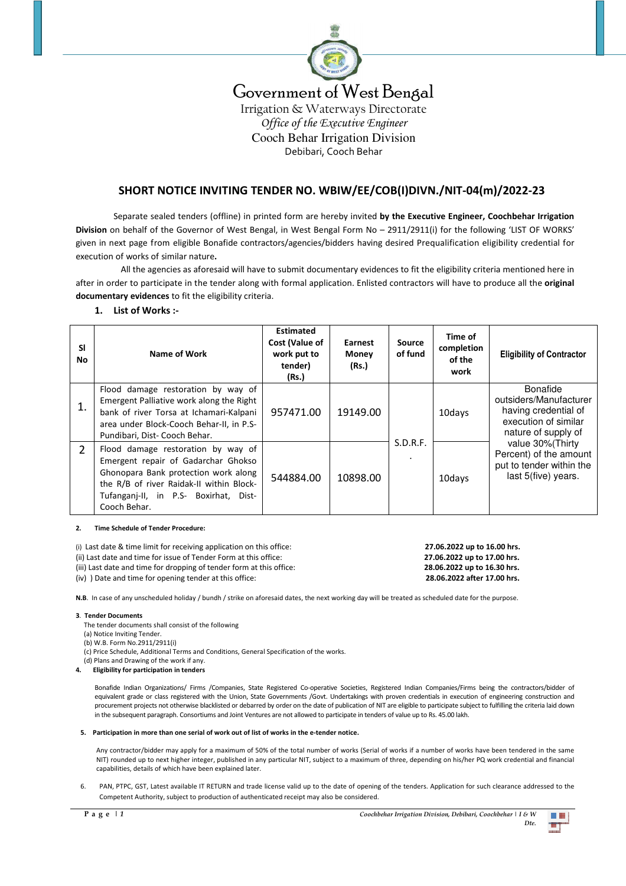

# Government of West Bengal

Irrigation & Waterways Directorate *Office of the Executive Engineer*  Cooch Behar Irrigation Division Debibari, Cooch Behar

# **SHORT NOTICE INVITING TENDER NO. WBIW/EE/COB(I)DIVN./NIT-04(m)/2022-23**

 Separate sealed tenders (offline) in printed form are hereby invited **by the Executive Engineer, Coochbehar Irrigation Division** on behalf of the Governor of West Bengal, in West Bengal Form No – 2911/2911(i) for the following 'LIST OF WORKS' given in next page from eligible Bonafide contractors/agencies/bidders having desired Prequalification eligibility credential for execution of works of similar nature**.** 

 All the agencies as aforesaid will have to submit documentary evidences to fit the eligibility criteria mentioned here in after in order to participate in the tender along with formal application. Enlisted contractors will have to produce all the **original documentary evidences** to fit the eligibility criteria.

## **1. List of Works :-**

| <b>SI</b><br><b>No</b> | Name of Work                                                                                                                                                                                                           | <b>Estimated</b><br>Cost (Value of<br>work put to<br>tender)<br>(Rs.) | Earnest<br><b>Money</b><br>(Rs.) | Source<br>of fund          | Time of<br>completion<br>of the<br>work | <b>Eligibility of Contractor</b>                                                                                                                                                                                   |
|------------------------|------------------------------------------------------------------------------------------------------------------------------------------------------------------------------------------------------------------------|-----------------------------------------------------------------------|----------------------------------|----------------------------|-----------------------------------------|--------------------------------------------------------------------------------------------------------------------------------------------------------------------------------------------------------------------|
| 1.                     | Flood damage restoration by way of<br>Emergent Palliative work along the Right<br>bank of river Torsa at Ichamari-Kalpani<br>area under Block-Cooch Behar-II, in P.S-<br>Pundibari, Dist- Cooch Behar.                 | 957471.00                                                             | 19149.00                         |                            | 10days                                  | <b>Bonafide</b><br>outsiders/Manufacturer<br>having credential of<br>execution of similar<br>nature of supply of<br>value 30% (Thirty<br>Percent) of the amount<br>put to tender within the<br>last 5(five) years. |
| $\overline{2}$         | Flood damage restoration by way of<br>Emergent repair of Gadarchar Ghokso<br>Ghonopara Bank protection work along<br>the R/B of river Raidak-II within Block-<br>Tufanganj-II, in P.S- Boxirhat, Dist-<br>Cooch Behar. | 544884.00                                                             | 10898.00                         | S.D.R.F.<br>$\blacksquare$ | 10days                                  |                                                                                                                                                                                                                    |

#### **2. Time Schedule of Tender Procedure:**

- (i) Last date & time limit for receiving application on this office: **27.06.2022 up to 16.00 hrs.**
- (ii) Last date and time for issue of Tender Form at this office: **27.06.2022 up to 17.00 hrs.**
- (iii) Last date and time for dropping of tender form at this office: **28.06.2022 up to 16.30 hrs.**
- (iv) ) Date and time for opening tender at this office: **28.06.2022 after 17.00 hrs.**

**N.B**. In case of any unscheduled holiday / bundh / strike on aforesaid dates, the next working day will be treated as scheduled date for the purpose.

#### **3**. **Tender Documents**

- The tender documents shall consist of the following
- (a) Notice Inviting Tender.
- (b) W.B. Form No.2911/2911(i)
- (c) Price Schedule, Additional Terms and Conditions, General Specification of the works.
- (d) Plans and Drawing of the work if any.
- **4. Eligibility for participation in tenders**

Bonafide Indian Organizations/ Firms /Companies, State Registered Co-operative Societies, Registered Indian Companies/Firms being the contractors/bidder of equivalent grade or class registered with the Union, State Governments /Govt. Undertakings with proven credentials in execution of engineering construction and procurement projects not otherwise blacklisted or debarred by order on the date of publication of NIT are eligible to participate subject to fulfilling the criteria laid down in the subsequent paragraph. Consortiums and Joint Ventures are not allowed to participate in tenders of value up to Rs. 45.00 lakh.

#### **5. Participation in more than one serial of work out of list of works in the e-tender notice.**

Any contractor/bidder may apply for a maximum of 50% of the total number of works (Serial of works if a number of works have been tendered in the same NIT) rounded up to next higher integer, published in any particular NIT, subject to a maximum of three, depending on his/her PQ work credential and financial capabilities, details of which have been explained later.

6. PAN, PTPC, GST, Latest available IT RETURN and trade license valid up to the date of opening of the tenders. Application for such clearance addressed to the Competent Authority, subject to production of authenticated receipt may also be considered.

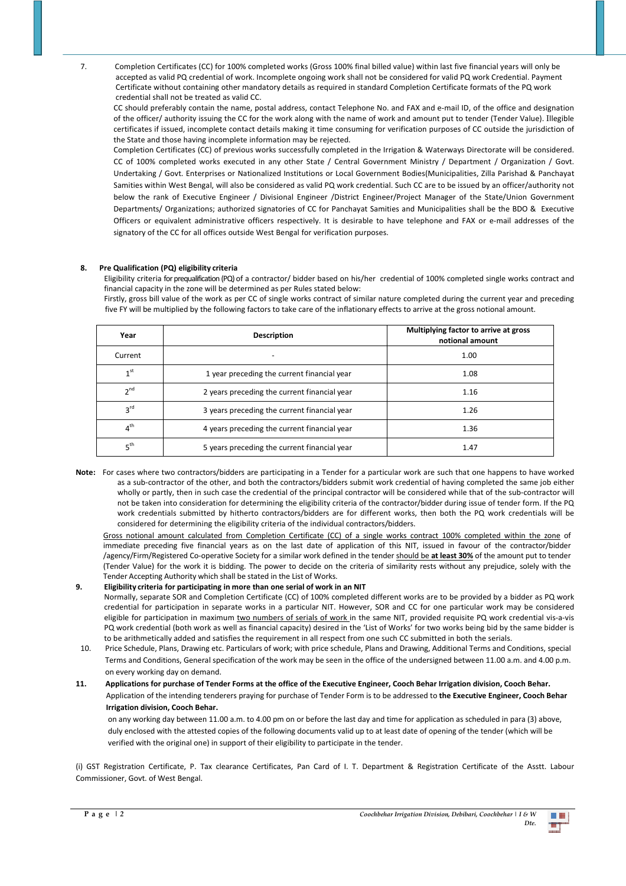7. Completion Certificates (CC) for 100% completed works (Gross 100% final billed value) within last five financial years will only be accepted as valid PQ credential of work. Incomplete ongoing work shall not be considered for valid PQ work Credential. Payment Certificate without containing other mandatory details as required in standard Completion Certificate formats of the PQ work credential shall not be treated as valid CC.

CC should preferably contain the name, postal address, contact Telephone No. and FAX and e-mail ID, of the office and designation of the officer/ authority issuing the CC for the work along with the name of work and amount put to tender (Tender Value). Illegible certificates if issued, incomplete contact details making it time consuming for verification purposes of CC outside the jurisdiction of the State and those having incomplete information may be rejected.

Completion Certificates (CC) of previous works successfully completed in the Irrigation & Waterways Directorate will be considered. CC of 100% completed works executed in any other State / Central Government Ministry / Department / Organization / Govt. Undertaking / Govt. Enterprises or Nationalized Institutions or Local Government Bodies(Municipalities, Zilla Parishad & Panchayat Samities within West Bengal, will also be considered as valid PQ work credential. Such CC are to be issued by an officer/authority not below the rank of Executive Engineer / Divisional Engineer /District Engineer/Project Manager of the State/Union Government Departments/ Organizations; authorized signatories of CC for Panchayat Samities and Municipalities shall be the BDO & Executive Officers or equivalent administrative officers respectively. It is desirable to have telephone and FAX or e-mail addresses of the signatory of the CC for all offices outside West Bengal for verification purposes.

## **8. Pre Qualification (PQ) eligibility criteria**

 Eligibility criteria for prequalification (PQ)of a contractor/ bidder based on his/her credential of 100% completed single works contract and financial capacity in the zone will be determined as per Rules stated below:

Firstly, gross bill value of the work as per CC of single works contract of similar nature completed during the current year and preceding five FY will be multiplied by the following factors to take care of the inflationary effects to arrive at the gross notional amount.

| Year            | <b>Description</b>                           | Multiplying factor to arrive at gross<br>notional amount |  |  |
|-----------------|----------------------------------------------|----------------------------------------------------------|--|--|
| Current         |                                              | 1.00                                                     |  |  |
| 1 <sup>st</sup> | 1 year preceding the current financial year  | 1.08                                                     |  |  |
| 2 <sub>nd</sub> | 2 years preceding the current financial year | 1.16                                                     |  |  |
| $3^{\text{rd}}$ | 3 years preceding the current financial year | 1.26                                                     |  |  |
| 4 <sup>th</sup> | 4 years preceding the current financial year | 1.36                                                     |  |  |
| 5 <sup>th</sup> | 5 years preceding the current financial year | 1.47                                                     |  |  |

**Note:** For cases where two contractors/bidders are participating in a Tender for a particular work are such that one happens to have worked as a sub-contractor of the other, and both the contractors/bidders submit work credential of having completed the same job either wholly or partly, then in such case the credential of the principal contractor will be considered while that of the sub-contractor will not be taken into consideration for determining the eligibility criteria of the contractor/bidder during issue of tender form. If the PQ work credentials submitted by hitherto contractors/bidders are for different works, then both the PQ work credentials will be considered for determining the eligibility criteria of the individual contractors/bidders.

Gross notional amount calculated from Completion Certificate (CC) of a single works contract 100% completed within the zone of immediate preceding five financial years as on the last date of application of this NIT, issued in favour of the contractor/bidder /agency/Firm/Registered Co-operative Society for a similar work defined in the tender should be **at least 30%** of the amount put to tender (Tender Value) for the work it is bidding. The power to decide on the criteria of similarity rests without any prejudice, solely with the Tender Accepting Authority which shall be stated in the List of Works.

## **9. Eligibility criteria for participating in more than one serial of work in an NIT**

 Normally, separate SOR and Completion Certificate (CC) of 100% completed different works are to be provided by a bidder as PQ work credential for participation in separate works in a particular NIT. However, SOR and CC for one particular work may be considered eligible for participation in maximum two numbers of serials of work in the same NIT, provided requisite PQ work credential vis-a-vis PQ work credential (both work as well as financial capacity) desired in the 'List of Works' for two works being bid by the same bidder is to be arithmetically added and satisfies the requirement in all respect from one such CC submitted in both the serials.

- 10. Price Schedule, Plans, Drawing etc. Particulars of work; with price schedule, Plans and Drawing, Additional Terms and Conditions, special Terms and Conditions, General specification of the work may be seen in the office of the undersigned between 11.00 a.m. and 4.00 p.m. on every working day on demand.
- **11. Applications for purchase of Tender Forms at the office of the Executive Engineer, Cooch Behar Irrigation division, Cooch Behar.**  Application of the intending tenderers praying for purchase of Tender Form is to be addressed to **the Executive Engineer, Cooch Behar Irrigation division, Cooch Behar.**

 on any working day between 11.00 a.m. to 4.00 pm on or before the last day and time for application as scheduled in para (3) above, duly enclosed with the attested copies of the following documents valid up to at least date of opening of the tender (which will be verified with the original one) in support of their eligibility to participate in the tender.

(i) GST Registration Certificate, P. Tax clearance Certificates, Pan Card of I. T. Department & Registration Certificate of the Asstt. Labour Commissioner, Govt. of West Bengal.

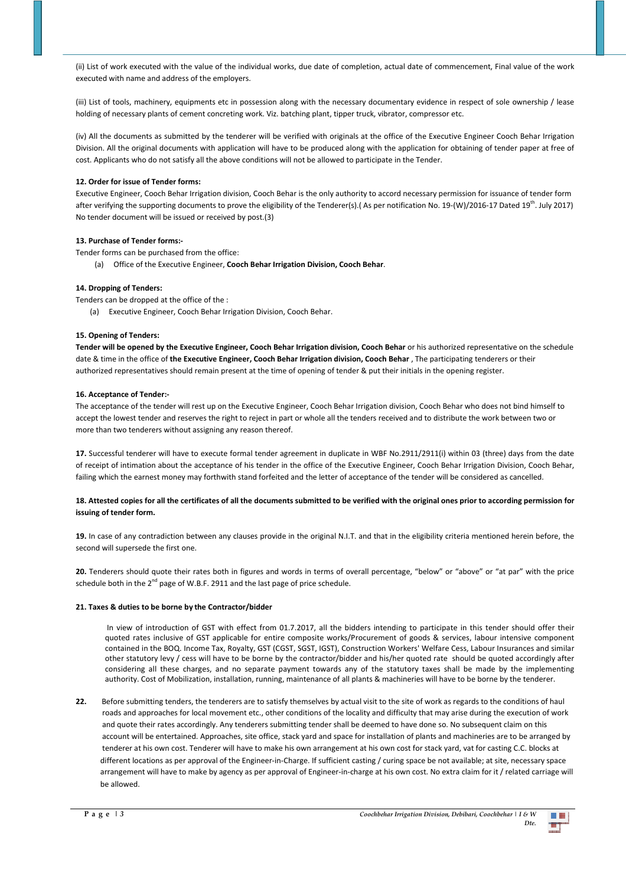(ii) List of work executed with the value of the individual works, due date of completion, actual date of commencement, Final value of the work executed with name and address of the employers.

(iii) List of tools, machinery, equipments etc in possession along with the necessary documentary evidence in respect of sole ownership / lease holding of necessary plants of cement concreting work. Viz. batching plant, tipper truck, vibrator, compressor etc.

(iv) All the documents as submitted by the tenderer will be verified with originals at the office of the Executive Engineer Cooch Behar Irrigation Division. All the original documents with application will have to be produced along with the application for obtaining of tender paper at free of cost. Applicants who do not satisfy all the above conditions will not be allowed to participate in the Tender.

## **12. Order for issue of Tender forms:**

Executive Engineer, Cooch Behar Irrigation division, Cooch Behar is the only authority to accord necessary permission for issuance of tender form after verifying the supporting documents to prove the eligibility of the Tenderer(s).( As per notification No. 19-(W)/2016-17 Dated 19th. July 2017) No tender document will be issued or received by post.(3)

#### **13. Purchase of Tender forms:-**

Tender forms can be purchased from the office:

(a) Office of the Executive Engineer, **Cooch Behar Irrigation Division, Cooch Behar**.

#### **14. Dropping of Tenders:**

Tenders can be dropped at the office of the :

(a) Executive Engineer, Cooch Behar Irrigation Division, Cooch Behar.

## **15. Opening of Tenders:**

Tender will be opened by the Executive Engineer, Cooch Behar Irrigation division, Cooch Behar or his authorized representative on the schedule date & time in the office of **the Executive Engineer, Cooch Behar Irrigation division, Cooch Behar** , The participating tenderers or their authorized representatives should remain present at the time of opening of tender & put their initials in the opening register.

## **16. Acceptance of Tender:-**

The acceptance of the tender will rest up on the Executive Engineer, Cooch Behar Irrigation division, Cooch Behar who does not bind himself to accept the lowest tender and reserves the right to reject in part or whole all the tenders received and to distribute the work between two or more than two tenderers without assigning any reason thereof.

**17.** Successful tenderer will have to execute formal tender agreement in duplicate in WBF No.2911/2911(i) within 03 (three) days from the date of receipt of intimation about the acceptance of his tender in the office of the Executive Engineer, Cooch Behar Irrigation Division, Cooch Behar, failing which the earnest money may forthwith stand forfeited and the letter of acceptance of the tender will be considered as cancelled.

## **18. Attested copies for all the certificates of all the documents submitted to be verified with the original ones prior to according permission for issuing of tender form.**

**19.** In case of any contradiction between any clauses provide in the original N.I.T. and that in the eligibility criteria mentioned herein before, the second will supersede the first one.

**20.** Tenderers should quote their rates both in figures and words in terms of overall percentage, "below" or "above" or "at par" with the price schedule both in the  $2^{nd}$  page of W.B.F. 2911 and the last page of price schedule.

#### **21. Taxes & duties to be borne by the Contractor/bidder**

 In view of introduction of GST with effect from 01.7.2017, all the bidders intending to participate in this tender should offer their quoted rates inclusive of GST applicable for entire composite works/Procurement of goods & services, labour intensive component contained in the BOQ. Income Tax, Royalty, GST (CGST, SGST, IGST), Construction Workers' Welfare Cess, Labour Insurances and similar other statutory levy / cess will have to be borne by the contractor/bidder and his/her quoted rate should be quoted accordingly after considering all these charges, and no separate payment towards any of the statutory taxes shall be made by the implementing authority. Cost of Mobilization, installation, running, maintenance of all plants & machineries will have to be borne by the tenderer.

**22.** Before submitting tenders, the tenderers are to satisfy themselves by actual visit to the site of work as regards to the conditions of haul roads and approaches for local movement etc., other conditions of the locality and difficulty that may arise during the execution of work and quote their rates accordingly. Any tenderers submitting tender shall be deemed to have done so. No subsequent claim on this account will be entertained. Approaches, site office, stack yard and space for installation of plants and machineries are to be arranged by tenderer at his own cost. Tenderer will have to make his own arrangement at his own cost for stack yard, vat for casting C.C. blocks at different locations as per approval of the Engineer-in-Charge. If sufficient casting / curing space be not available; at site, necessary space arrangement will have to make by agency as per approval of Engineer-in-charge at his own cost. No extra claim for it / related carriage will be allowed.

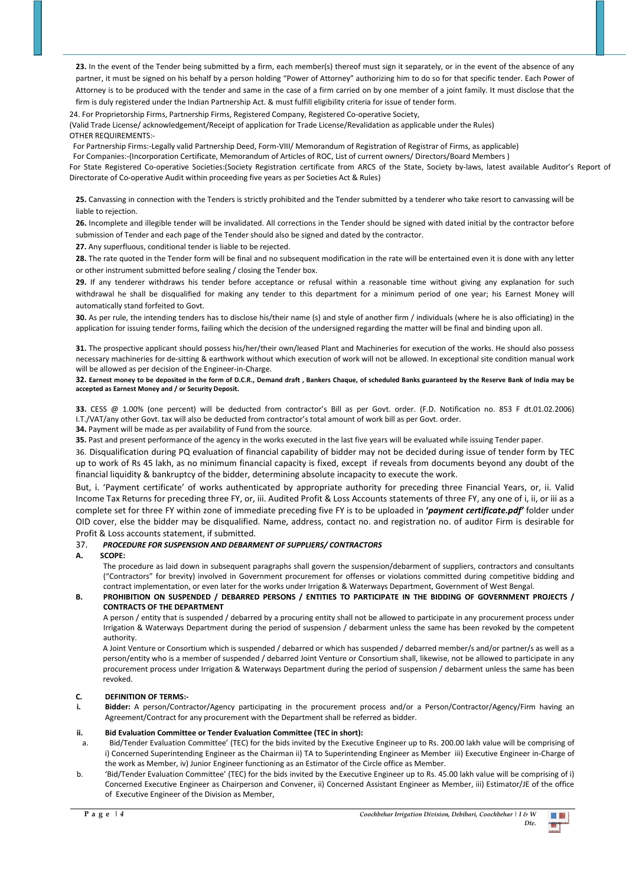23. In the event of the Tender being submitted by a firm, each member(s) thereof must sign it separately, or in the event of the absence of any partner, it must be signed on his behalf by a person holding "Power of Attorney" authorizing him to do so for that specific tender. Each Power of Attorney is to be produced with the tender and same in the case of a firm carried on by one member of a joint family. It must disclose that the firm is duly registered under the Indian Partnership Act. & must fulfill eligibility criteria for issue of tender form.

24. For Proprietorship Firms, Partnership Firms, Registered Company, Registered Co-operative Society, (Valid Trade License/ acknowledgement/Receipt of application for Trade License/Revalidation as applicable under the Rules) OTHER REQUIREMENTS:-

For Partnership Firms:-Legally valid Partnership Deed, Form-VIII/ Memorandum of Registration of Registrar of Firms, as applicable)

For Companies:-(Incorporation Certificate, Memorandum of Articles of ROC, List of current owners/ Directors/Board Members )

For State Registered Co-operative Societies:(Society Registration certificate from ARCS of the State, Society by-laws, latest available Auditor's Report of Directorate of Co-operative Audit within proceeding five years as per Societies Act & Rules)

**25.** Canvassing in connection with the Tenders is strictly prohibited and the Tender submitted by a tenderer who take resort to canvassing will be liable to rejection.

**26.** Incomplete and illegible tender will be invalidated. All corrections in the Tender should be signed with dated initial by the contractor before submission of Tender and each page of the Tender should also be signed and dated by the contractor.

**27.** Any superfluous, conditional tender is liable to be rejected.

**28.** The rate quoted in the Tender form will be final and no subsequent modification in the rate will be entertained even it is done with any letter or other instrument submitted before sealing / closing the Tender box.

**29.** If any tenderer withdraws his tender before acceptance or refusal within a reasonable time without giving any explanation for such withdrawal he shall be disqualified for making any tender to this department for a minimum period of one year; his Earnest Money will automatically stand forfeited to Govt.

**30.** As per rule, the intending tenders has to disclose his/their name (s) and style of another firm / individuals (where he is also officiating) in the application for issuing tender forms, failing which the decision of the undersigned regarding the matter will be final and binding upon all.

**31.** The prospective applicant should possess his/her/their own/leased Plant and Machineries for execution of the works. He should also possess necessary machineries for de-sitting & earthwork without which execution of work will not be allowed. In exceptional site condition manual work will be allowed as per decision of the Engineer-in-Charge.

**32. Earnest money to be deposited in the form of D.C.R., Demand draft , Bankers Chaque, of scheduled Banks guaranteed by the Reserve Bank of India may be accepted as Earnest Money and / or Security Deposit.** 

**33.** CESS @ 1.00% (one percent) will be deducted from contractor's Bill as per Govt. order. (F.D. Notification no. 853 F dt.01.02.2006) I.T./VAT/any other Govt. tax will also be deducted from contractor's total amount of work bill as per Govt. order.

**34.** Payment will be made as per availability of Fund from the source.

**35.** Past and present performance of the agency in the works executed in the last five years will be evaluated while issuing Tender paper.

36. Disqualification during PQ evaluation of financial capability of bidder may not be decided during issue of tender form by TEC up to work of Rs 45 lakh, as no minimum financial capacity is fixed, except if reveals from documents beyond any doubt of the financial liquidity & bankruptcy of the bidder, determining absolute incapacity to execute the work.

But, i. 'Payment certificate' of works authenticated by appropriate authority for preceding three Financial Years, or, ii. Valid Income Tax Returns for preceding three FY, or, iii. Audited Profit & Loss Accounts statements of three FY, any one of i, ii, or iii as a complete set for three FY within zone of immediate preceding five FY is to be uploaded in **'***payment certificate.pdf'* folder under OID cover, else the bidder may be disqualified. Name, address, contact no. and registration no. of auditor Firm is desirable for Profit & Loss accounts statement, if submitted.

## 37. *PROCEDURE FOR SUSPENSION AND DEBARMENT OF SUPPLIERS/ CONTRACTORS*

#### **A. SCOPE:**

The procedure as laid down in subsequent paragraphs shall govern the suspension/debarment of suppliers, contractors and consultants ("Contractors" for brevity) involved in Government procurement for offenses or violations committed during competitive bidding and contract implementation, or even later for the works under Irrigation & Waterways Department, Government of West Bengal.

## **B. PROHIBITION ON SUSPENDED / DEBARRED PERSONS / ENTITIES TO PARTICIPATE IN THE BIDDING OF GOVERNMENT PROJECTS / CONTRACTS OF THE DEPARTMENT**

A person / entity that is suspended / debarred by a procuring entity shall not be allowed to participate in any procurement process under Irrigation & Waterways Department during the period of suspension / debarment unless the same has been revoked by the competent authority.

 A Joint Venture or Consortium which is suspended / debarred or which has suspended / debarred member/s and/or partner/s as well as a person/entity who is a member of suspended / debarred Joint Venture or Consortium shall, likewise, not be allowed to participate in any procurement process under Irrigation & Waterways Department during the period of suspension / debarment unless the same has been revoked.

## **C. DEFINITION OF TERMS:-**

**i. Bidder:** A person/Contractor/Agency participating in the procurement process and/or a Person/Contractor/Agency/Firm having an Agreement/Contract for any procurement with the Department shall be referred as bidder.

#### **ii. Bid Evaluation Committee or Tender Evaluation Committee (TEC in short):**

- a. Bid/Tender Evaluation Committee' (TEC) for the bids invited by the Executive Engineer up to Rs. 200.00 lakh value will be comprising of i) Concerned Superintending Engineer as the Chairman ii) TA to Superintending Engineer as Member iii) Executive Engineer in-Charge of the work as Member, iv) Junior Engineer functioning as an Estimator of the Circle office as Member.
- b. 'Bid/Tender Evaluation Committee' (TEC) for the bids invited by the Executive Engineer up to Rs. 45.00 lakh value will be comprising of i) Concerned Executive Engineer as Chairperson and Convener, ii) Concerned Assistant Engineer as Member, iii) Estimator/JE of the office of Executive Engineer of the Division as Member,

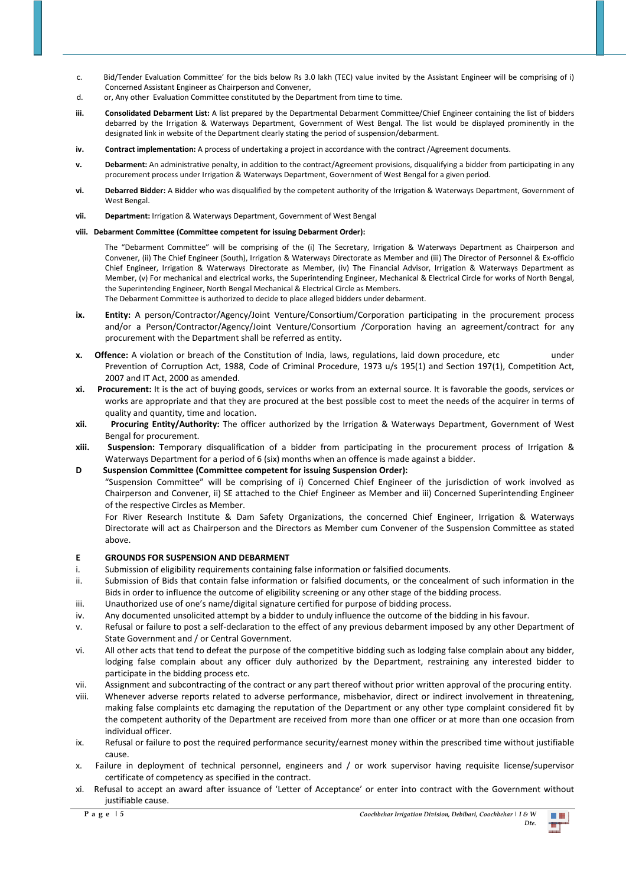- c. Bid/Tender Evaluation Committee' for the bids below Rs 3.0 lakh (TEC) value invited by the Assistant Engineer will be comprising of i) Concerned Assistant Engineer as Chairperson and Convener,
- d. or, Any other Evaluation Committee constituted by the Department from time to time.
- iii. Consolidated Debarment List: A list prepared by the Departmental Debarment Committee/Chief Engineer containing the list of bidders debarred by the Irrigation & Waterways Department, Government of West Bengal. The list would be displayed prominently in the designated link in website of the Department clearly stating the period of suspension/debarment.
- **iv. Contract implementation:** A process of undertaking a project in accordance with the contract /Agreement documents.
- **v. Debarment:** An administrative penalty, in addition to the contract/Agreement provisions, disqualifying a bidder from participating in any procurement process under Irrigation & Waterways Department, Government of West Bengal for a given period.
- **vi. Debarred Bidder:** A Bidder who was disqualified by the competent authority of the Irrigation & Waterways Department, Government of West Bengal.
- **vii. Department:** Irrigation & Waterways Department, Government of West Bengal

## **viii. Debarment Committee (Committee competent for issuing Debarment Order):**

procurement with the Department shall be referred as entity.

The "Debarment Committee" will be comprising of the (i) The Secretary, Irrigation & Waterways Department as Chairperson and Convener, (ii) The Chief Engineer (South), Irrigation & Waterways Directorate as Member and (iii) The Director of Personnel & Ex-officio Chief Engineer, Irrigation & Waterways Directorate as Member, (iv) The Financial Advisor, Irrigation & Waterways Department as Member, (v) For mechanical and electrical works, the Superintending Engineer, Mechanical & Electrical Circle for works of North Bengal, the Superintending Engineer, North Bengal Mechanical & Electrical Circle as Members. The Debarment Committee is authorized to decide to place alleged bidders under debarment.

ix. Entity: A person/Contractor/Agency/Joint Venture/Consortium/Corporation participating in the procurement process and/or a Person/Contractor/Agency/Joint Venture/Consortium /Corporation having an agreement/contract for any

- **x.** Offence: A violation or breach of the Constitution of India, laws, regulations, laid down procedure, etc under Prevention of Corruption Act, 1988, Code of Criminal Procedure, 1973 u/s 195(1) and Section 197(1), Competition Act, 2007 and IT Act, 2000 as amended.
- **xi. Procurement:** It is the act of buying goods, services or works from an external source. It is favorable the goods, services or works are appropriate and that they are procured at the best possible cost to meet the needs of the acquirer in terms of quality and quantity, time and location.
- **xii. Procuring Entity/Authority:** The officer authorized by the Irrigation & Waterways Department, Government of West Bengal for procurement.
- **xiii. Suspension:** Temporary disqualification of a bidder from participating in the procurement process of Irrigation & Waterways Department for a period of 6 (six) months when an offence is made against a bidder.

## **D Suspension Committee (Committee competent for issuing Suspension Order):**

"Suspension Committee" will be comprising of i) Concerned Chief Engineer of the jurisdiction of work involved as Chairperson and Convener, ii) SE attached to the Chief Engineer as Member and iii) Concerned Superintending Engineer of the respective Circles as Member.

 For River Research Institute & Dam Safety Organizations, the concerned Chief Engineer, Irrigation & Waterways Directorate will act as Chairperson and the Directors as Member cum Convener of the Suspension Committee as stated above.

## **E GROUNDS FOR SUSPENSION AND DEBARMENT**

- i. Submission of eligibility requirements containing false information or falsified documents.
- ii. Submission of Bids that contain false information or falsified documents, or the concealment of such information in the Bids in order to influence the outcome of eligibility screening or any other stage of the bidding process.
- iii. Unauthorized use of one's name/digital signature certified for purpose of bidding process.
- iv. Any documented unsolicited attempt by a bidder to unduly influence the outcome of the bidding in his favour.
- v. Refusal or failure to post a self-declaration to the effect of any previous debarment imposed by any other Department of State Government and / or Central Government.
- vi. All other acts that tend to defeat the purpose of the competitive bidding such as lodging false complain about any bidder, lodging false complain about any officer duly authorized by the Department, restraining any interested bidder to participate in the bidding process etc.
- vii. Assignment and subcontracting of the contract or any part thereof without prior written approval of the procuring entity.
- viii. Whenever adverse reports related to adverse performance, misbehavior, direct or indirect involvement in threatening, making false complaints etc damaging the reputation of the Department or any other type complaint considered fit by the competent authority of the Department are received from more than one officer or at more than one occasion from individual officer.
- ix. Refusal or failure to post the required performance security/earnest money within the prescribed time without justifiable cause.
- x. Failure in deployment of technical personnel, engineers and / or work supervisor having requisite license/supervisor certificate of competency as specified in the contract.
- xi. Refusal to accept an award after issuance of 'Letter of Acceptance' or enter into contract with the Government without justifiable cause.

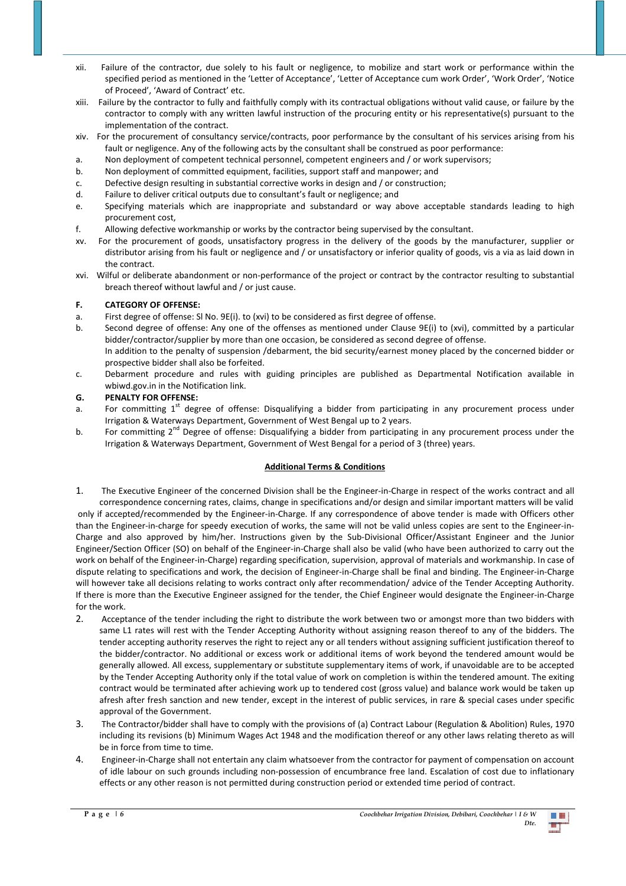- xii. Failure of the contractor, due solely to his fault or negligence, to mobilize and start work or performance within the specified period as mentioned in the 'Letter of Acceptance', 'Letter of Acceptance cum work Order', 'Work Order', 'Notice of Proceed', 'Award of Contract' etc.
- xiii. Failure by the contractor to fully and faithfully comply with its contractual obligations without valid cause, or failure by the contractor to comply with any written lawful instruction of the procuring entity or his representative(s) pursuant to the implementation of the contract.
- xiv. For the procurement of consultancy service/contracts, poor performance by the consultant of his services arising from his fault or negligence. Any of the following acts by the consultant shall be construed as poor performance:
- a. Non deployment of competent technical personnel, competent engineers and / or work supervisors;
- b. Non deployment of committed equipment, facilities, support staff and manpower; and
- c. Defective design resulting in substantial corrective works in design and / or construction;
- d. Failure to deliver critical outputs due to consultant's fault or negligence; and
- e. Specifying materials which are inappropriate and substandard or way above acceptable standards leading to high procurement cost,
- f. Allowing defective workmanship or works by the contractor being supervised by the consultant.
- xv. For the procurement of goods, unsatisfactory progress in the delivery of the goods by the manufacturer, supplier or distributor arising from his fault or negligence and / or unsatisfactory or inferior quality of goods, vis a via as laid down in the contract.
- xvi. Wilful or deliberate abandonment or non-performance of the project or contract by the contractor resulting to substantial breach thereof without lawful and / or just cause.

## **F. CATEGORY OF OFFENSE:**

- a. First degree of offense: Sl No. 9E(i). to (xvi) to be considered as first degree of offense.
- b. Second degree of offense: Any one of the offenses as mentioned under Clause 9E(i) to (xvi), committed by a particular bidder/contractor/supplier by more than one occasion, be considered as second degree of offense. In addition to the penalty of suspension /debarment, the bid security/earnest money placed by the concerned bidder or prospective bidder shall also be forfeited.
- c. Debarment procedure and rules with guiding principles are published as Departmental Notification available in wbiwd.gov.in in the Notification link.

## **G. PENALTY FOR OFFENSE:**

- a. For committing 1<sup>st</sup> degree of offense: Disqualifying a bidder from participating in any procurement process under Irrigation & Waterways Department, Government of West Bengal up to 2 years.
- b. For committing 2<sup>nd</sup> Degree of offense: Disqualifying a bidder from participating in any procurement process under the Irrigation & Waterways Department, Government of West Bengal for a period of 3 (three) years.

## **Additional Terms & Conditions**

- 1. The Executive Engineer of the concerned Division shall be the Engineer-in-Charge in respect of the works contract and all correspondence concerning rates, claims, change in specifications and/or design and similar important matters will be valid only if accepted/recommended by the Engineer-in-Charge. If any correspondence of above tender is made with Officers other than the Engineer-in-charge for speedy execution of works, the same will not be valid unless copies are sent to the Engineer-in-Charge and also approved by him/her. Instructions given by the Sub-Divisional Officer/Assistant Engineer and the Junior Engineer/Section Officer (SO) on behalf of the Engineer-in-Charge shall also be valid (who have been authorized to carry out the work on behalf of the Engineer-in-Charge) regarding specification, supervision, approval of materials and workmanship. In case of dispute relating to specifications and work, the decision of Engineer-in-Charge shall be final and binding. The Engineer-in-Charge will however take all decisions relating to works contract only after recommendation/ advice of the Tender Accepting Authority. If there is more than the Executive Engineer assigned for the tender, the Chief Engineer would designate the Engineer-in-Charge for the work.
- 2. Acceptance of the tender including the right to distribute the work between two or amongst more than two bidders with same L1 rates will rest with the Tender Accepting Authority without assigning reason thereof to any of the bidders. The tender accepting authority reserves the right to reject any or all tenders without assigning sufficient justification thereof to the bidder/contractor. No additional or excess work or additional items of work beyond the tendered amount would be generally allowed. All excess, supplementary or substitute supplementary items of work, if unavoidable are to be accepted by the Tender Accepting Authority only if the total value of work on completion is within the tendered amount. The exiting contract would be terminated after achieving work up to tendered cost (gross value) and balance work would be taken up afresh after fresh sanction and new tender, except in the interest of public services, in rare & special cases under specific approval of the Government.
- 3. The Contractor/bidder shall have to comply with the provisions of (a) Contract Labour (Regulation & Abolition) Rules, 1970 including its revisions (b) Minimum Wages Act 1948 and the modification thereof or any other laws relating thereto as will be in force from time to time.
- 4. Engineer-in-Charge shall not entertain any claim whatsoever from the contractor for payment of compensation on account of idle labour on such grounds including non-possession of encumbrance free land. Escalation of cost due to inflationary effects or any other reason is not permitted during construction period or extended time period of contract.

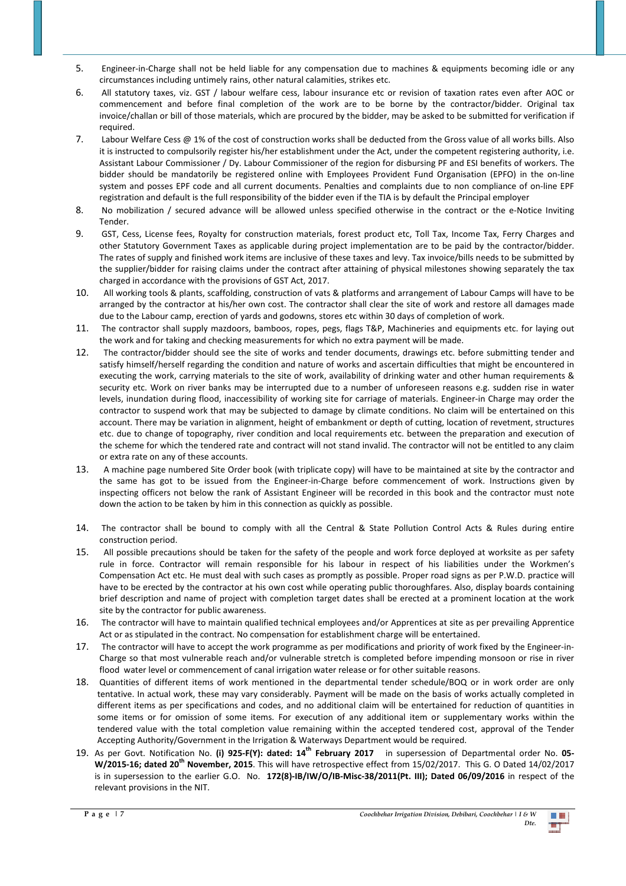- 5. Engineer-in-Charge shall not be held liable for any compensation due to machines & equipments becoming idle or any circumstances including untimely rains, other natural calamities, strikes etc.
- 6. All statutory taxes, viz. GST / labour welfare cess, labour insurance etc or revision of taxation rates even after AOC or commencement and before final completion of the work are to be borne by the contractor/bidder. Original tax invoice/challan or bill of those materials, which are procured by the bidder, may be asked to be submitted for verification if required.
- 7. Labour Welfare Cess @ 1% of the cost of construction works shall be deducted from the Gross value of all works bills. Also it is instructed to compulsorily register his/her establishment under the Act, under the competent registering authority, i.e. Assistant Labour Commissioner / Dy. Labour Commissioner of the region for disbursing PF and ESI benefits of workers. The bidder should be mandatorily be registered online with Employees Provident Fund Organisation (EPFO) in the on-line system and posses EPF code and all current documents. Penalties and complaints due to non compliance of on-line EPF registration and default is the full responsibility of the bidder even if the TIA is by default the Principal employer
- 8. No mobilization / secured advance will be allowed unless specified otherwise in the contract or the e-Notice Inviting Tender.
- 9. GST, Cess, License fees, Royalty for construction materials, forest product etc, Toll Tax, Income Tax, Ferry Charges and other Statutory Government Taxes as applicable during project implementation are to be paid by the contractor/bidder. The rates of supply and finished work items are inclusive of these taxes and levy. Tax invoice/bills needs to be submitted by the supplier/bidder for raising claims under the contract after attaining of physical milestones showing separately the tax charged in accordance with the provisions of GST Act, 2017.
- 10. All working tools & plants, scaffolding, construction of vats & platforms and arrangement of Labour Camps will have to be arranged by the contractor at his/her own cost. The contractor shall clear the site of work and restore all damages made due to the Labour camp, erection of yards and godowns, stores etc within 30 days of completion of work.
- 11. The contractor shall supply mazdoors, bamboos, ropes, pegs, flags T&P, Machineries and equipments etc. for laying out the work and for taking and checking measurements for which no extra payment will be made.
- 12. The contractor/bidder should see the site of works and tender documents, drawings etc. before submitting tender and satisfy himself/herself regarding the condition and nature of works and ascertain difficulties that might be encountered in executing the work, carrying materials to the site of work, availability of drinking water and other human requirements & security etc. Work on river banks may be interrupted due to a number of unforeseen reasons e.g. sudden rise in water levels, inundation during flood, inaccessibility of working site for carriage of materials. Engineer-in Charge may order the contractor to suspend work that may be subjected to damage by climate conditions. No claim will be entertained on this account. There may be variation in alignment, height of embankment or depth of cutting, location of revetment, structures etc. due to change of topography, river condition and local requirements etc. between the preparation and execution of the scheme for which the tendered rate and contract will not stand invalid. The contractor will not be entitled to any claim or extra rate on any of these accounts.
- 13. A machine page numbered Site Order book (with triplicate copy) will have to be maintained at site by the contractor and the same has got to be issued from the Engineer-in-Charge before commencement of work. Instructions given by inspecting officers not below the rank of Assistant Engineer will be recorded in this book and the contractor must note down the action to be taken by him in this connection as quickly as possible.
- 14. The contractor shall be bound to comply with all the Central & State Pollution Control Acts & Rules during entire construction period.
- 15. All possible precautions should be taken for the safety of the people and work force deployed at worksite as per safety rule in force. Contractor will remain responsible for his labour in respect of his liabilities under the Workmen's Compensation Act etc. He must deal with such cases as promptly as possible. Proper road signs as per P.W.D. practice will have to be erected by the contractor at his own cost while operating public thoroughfares. Also, display boards containing brief description and name of project with completion target dates shall be erected at a prominent location at the work site by the contractor for public awareness.
- 16. The contractor will have to maintain qualified technical employees and/or Apprentices at site as per prevailing Apprentice Act or as stipulated in the contract. No compensation for establishment charge will be entertained.
- 17. The contractor will have to accept the work programme as per modifications and priority of work fixed by the Engineer-in-Charge so that most vulnerable reach and/or vulnerable stretch is completed before impending monsoon or rise in river flood water level or commencement of canal irrigation water release or for other suitable reasons.
- 18. Quantities of different items of work mentioned in the departmental tender schedule/BOQ or in work order are only tentative. In actual work, these may vary considerably. Payment will be made on the basis of works actually completed in different items as per specifications and codes, and no additional claim will be entertained for reduction of quantities in some items or for omission of some items. For execution of any additional item or supplementary works within the tendered value with the total completion value remaining within the accepted tendered cost, approval of the Tender Accepting Authority/Government in the Irrigation & Waterways Department would be required.
- 19. As per Govt. Notification No. **(i) 925-F(Y): dated: 14th February 2017** in supersession of Departmental order No. **05- W/2015-16; dated 20th November, 2015**. This will have retrospective effect from 15/02/2017. This G. O Dated 14/02/2017 is in supersession to the earlier G.O. No. **172(8)-IB/IW/O/IB-Misc-38/2011(Pt. III); Dated 06/09/2016** in respect of the relevant provisions in the NIT.